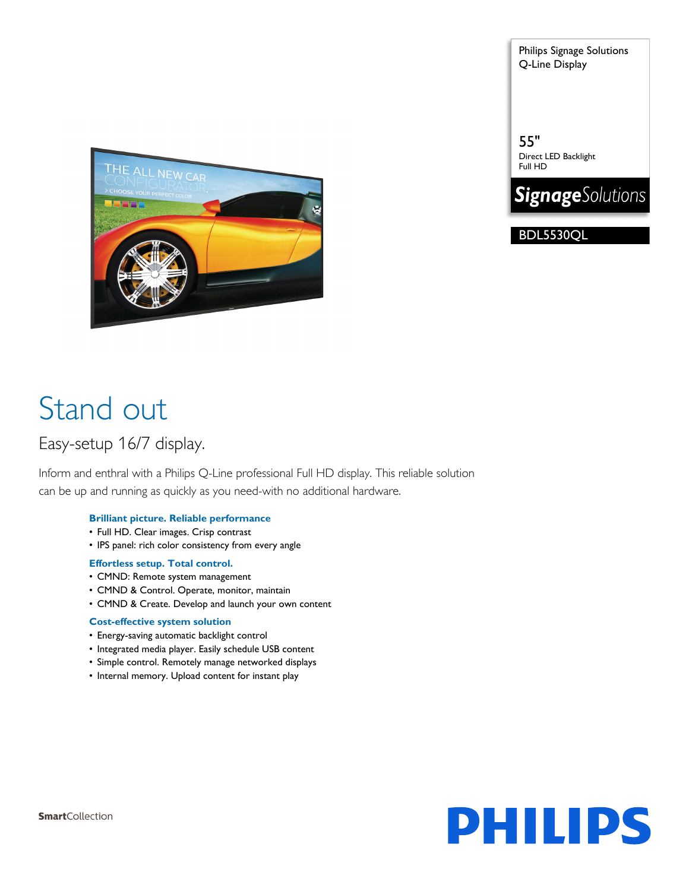Philips Signage Solutions Q-Line Display

55" Direct LED Backlight Full HD



BDL5530QL



# Stand out

# Easy-setup 16/7 display.

Inform and enthral with a Philips Q-Line professional Full HD display. This reliable solution can be up and running as quickly as you need-with no additional hardware.

# **Brilliant picture. Reliable performance**

- Full HD. Clear images. Crisp contrast
- IPS panel: rich color consistency from every angle

# **Effortless setup. Total control.**

- CMND: Remote system management
- CMND & Control. Operate, monitor, maintain
- CMND & Create. Develop and launch your own content

# **Cost-effective system solution**

- Energy-saving automatic backlight control
- Integrated media player. Easily schedule USB content
- Simple control. Remotely manage networked displays
- Internal memory. Upload content for instant play

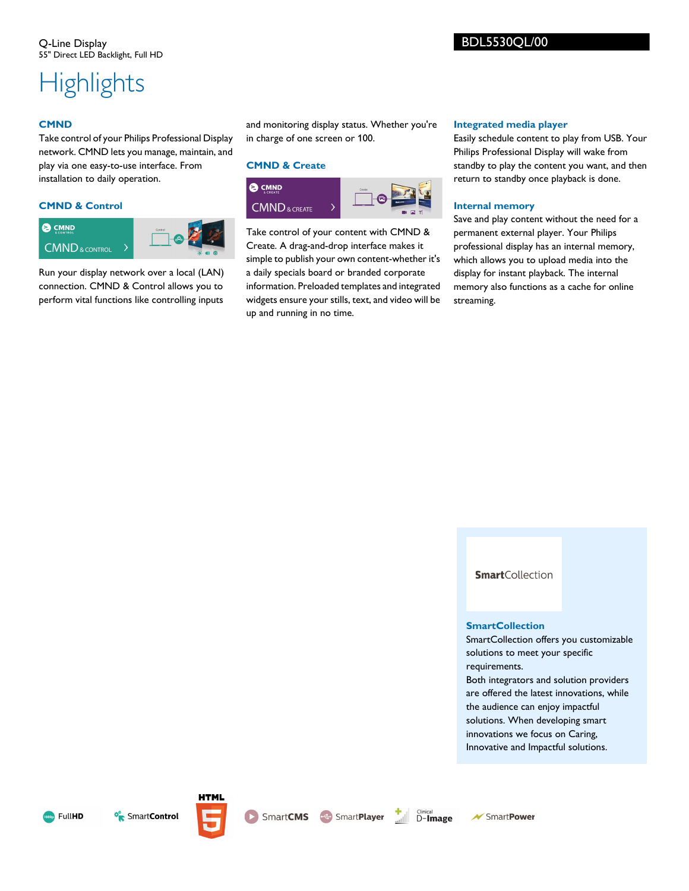# **Highlights**

### **CMND**

Take control of your Philips Professional Display network. CMND lets you manage, maintain, and play via one easy-to-use interface. From installation to daily operation.

### **CMND & Control**



Run your display network over a local (LAN) connection. CMND & Control allows you to perform vital functions like controlling inputs and monitoring display status. Whether you're in charge of one screen or 100.

#### **CMND & Create**



Take control of your content with CMND & Create. A drag-and-drop interface makes it simple to publish your own content-whether it's a daily specials board or branded corporate information. Preloaded templates and integrated widgets ensure your stills, text, and video will be up and running in no time.

#### **Integrated media player**

Easily schedule content to play from USB. Your Philips Professional Display will wake from standby to play the content you want, and then return to standby once playback is done.

#### **Internal memory**

Save and play content without the need for a permanent external player. Your Philips professional display has an internal memory, which allows you to upload media into the display for instant playback. The internal memory also functions as a cache for online streaming.

**Smart**Collection

#### **SmartCollection**

SmartCollection offers you customizable solutions to meet your specific requirements. Both integrators and solution providers are offered the latest innovations, while the audience can enjoy impactful

solutions. When developing smart innovations we focus on Caring, Innovative and Impactful solutions.



<sup>o</sup> Smart**Control** 



**HTML** 



**SmartCMS** SmartPlayer

**★ SmartPower**